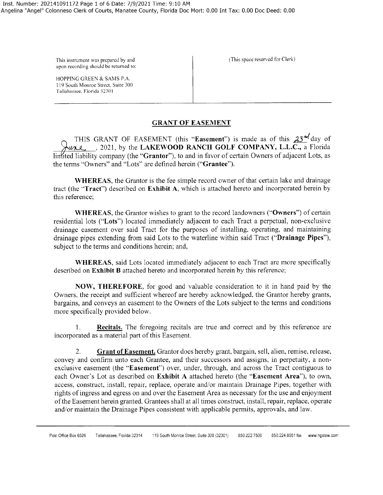upon recording should be returned to:

Tallahassee, Florida 32301

HOPPING GREEN & SAMS P.A. 119 South Monroe Street, Suite 300

This instrument was prepared by and  $\left\{\n\begin{array}{c}\n\text{This space reserved for Clerk}\n\end{array}\n\right\}$ 

### **GRANT OF EASEMENT**

THIS GRANT OF EASEMENT (this "Easement") is made as of this  $23^{4}$  day of  $\forall u \in \mathbb{R}$ , 2021, by the LAKEWOOD RANCH GOLF COMPANY, L.L.C., a Florida linfited liability company (the "Grantor"), to and in favor of certain Owners of adjacent Lots, as the terms "Owners" and "Lots" are defined herein **("Grantee").** 

**WHEREAS,** the Grantor is the fee simple record owner of that certain lake and drainage tract (the **"Tract")** described on **Exhibit A,** which is attached hereto and incorporated herein by this reference;

**WHEREAS,** the Grantor wishes to grant to the record landowners **("Owners")** of certain residential lots **("Lots")** located immediately adjacent to each Tract a perpetual, non-exclusive drainage easement over said Tract for the purposes of installing, operating, and maintaining drainage pipes extending from said Lots to the waterline within said Tract **("Drainage Pipes"),**  subject to the terms and conditions herein; and,

**WHEREAS,** said Lots located immediately adjacent to each Tract are more specifically described on **Exhibit B** attached hereto and incorporated herein by this reference;

**NOW, THEREFORE,** for good and valuable consideration to it in hand paid by the Owners, the receipt and sufficient whereof are hereby acknowledged, the Grantor hereby grants, bargains, and conveys an easement to the Owners of the Lots subject to the terms and conditions more specifically provided below.

1. **Recitals.** The foregoing recitals are true and correct and by this reference are incorporated as a material part of this Easement.

2. **Grant of Easement.** Grantor does hereby grant, bargain, sell, alien, remise, release, convey and confirm unto each Grantee, and their successors and assigns, in perpetuity, a nonexclusive easement (the **"Easement")** over, under, through, and across the Tract contiguous to each Owner's Lot as described on **Exhibit A** attached hereto (the **"Easement Area"),** to own, access, construct, install, repair, replace, operate and/or maintain Drainage Pipes, together with rights ofingress and egress on and over the Easement Area as necessary for the use and enjoyment ofthe Easement herein granted. Grantees shall at all times construct, install, repair, replace, operate and/or maintain the Drainage Pipes consistent with applicable permits, approvals, and law.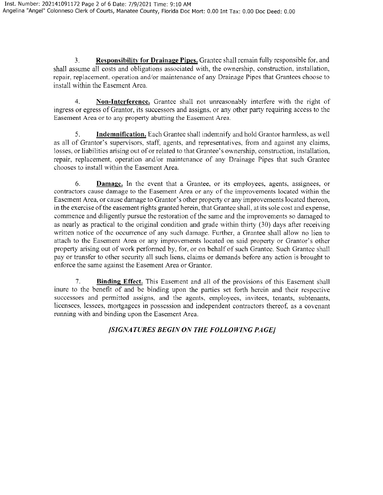3. **Responsibility for Drainage Pipes.** Grantee shall remain fully responsible for, and shall assume all costs and obligations associated with, the ownership, construction, installation, repair, replacement, operation and/or maintenance of any Drainage Pipes that Grantees choose to install within the Easement Area.

4. **Non-Interference.** Grantee shall not unreasonably interfere with the right of ingress or egress of Grantor, its successors and assigns, or any other party requiring access to the Easement Area or to any property abutting the Easement Area.

5. **Indemnification.** Each Grantee shall indemnify and hold Grantor harmless, as well as all of Grantor's supervisors, staff, agents, and representatives, from and against any claims, losses, or liabilities arising out of or related to that Grantee's ownership, construction, installation, repair, replacement, operation and/or maintenance of any Drainage Pipes that such Grantee chooses to install within the Easement Area.

6. **Damage.** In the event that a Grantee, or its employees, agents, assignees, or contractors cause damage to the Easement Area or any of the improvements located within the Easement Area, or cause damage to Grantor's other property or any improvements located thereon, in the exercise ofthe easement rights granted herein, that Grantee shall, at its sole cost and expense, commence and diligently pursue the restoration of the same and the improvements so damaged to as nearly as practical to the original condition and grade within thirty (30) days after receiving written notice of the occurrence of any such damage. Further, a Grantee shall allow no lien to attach to the Easement Area or any improvements located on said property or Grantor's other property arising out of work performed by, for, or on behalf of such Grantee. Such Grantee shall pay or transfer to other security all such liens, claims or demands before any action is brought to enforce the same against the Easement Area or Grantor.

7. **Binding Effect.** This Easement and all of the provisions of this Easement shall inure to the benefit of and be binding upon the parties set forth herein and their respective successors and permitted assigns, and the agents, employees, invitees, tenants, subtenants, licensees, lessees, mortgagees in possession and independent contractors thereof, as a covenant running with and binding upon the Easement Area.

# *[SIGNATURES BEGIN ON THE FOLLOWING PAGE/*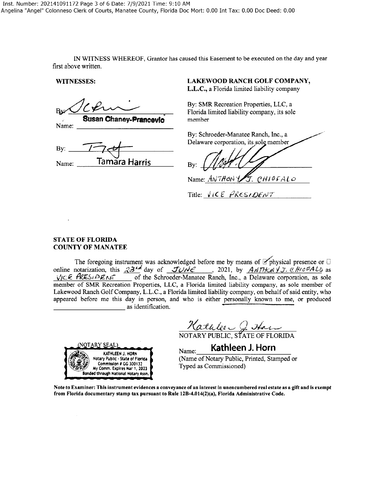IN WITNESS WHEREOF, Grantor has caused this Easement to be executed on the day and year first above written.

 $By: 174$ Name: **Tamara Harris** By:

### **WITNESSES: LAKEWOOD RANCH GOLF COMPANY,**

**L.L.C.,** a Florida limited liability company

By: SMR Recreation Properties, LLC, a E.L.C., a Florida limited liability company<br>By: SMR Recreation Properties, LLC, a<br>Florida limited liability company, its sole **Susan Chaney-Prancevic member Name:** 

> By: Schroeder-Manatee Ranch, Inc., a Delaware corporation, its sole member

Name: ANTHONY J. CHIOFALO

Title:  $V$ *i*CE PRESIDENT

### **STATE OF FLORIDA COUNTY OF MANATEE**

The foregoing instrument was acknowledged before me by means of  $\mathbb Z$  physical presence or  $\Box$ online notarization, this  $33^{14}$  day of  $JUNE$ , 2021, by  $AMTHCNYJ$ .  $CHICFALO$  as *VICE PRESIDENT* of the Schroeder-Manatee Ranch, Inc., a Delaware corporation, as sole member of SMR Recreation Properties, LLC, a Florida limited liability company, as sole member of Lakewood Ranch Golf Company, L.L.C., a Florida limited liability company, on behalfofsaid entity, who appeared before me this day in person, and who is either personally known to me, or produced as identification.



Natulee Q Han

 $_{\text{Name:}}$  **Kathleen J. Horn** 

(Name of Notary Public, Printed, Stamped or Typed as Commissioned)

**Note to Examiner: This instrument evidences a conveyance of an interest in unencumbered real estate as a gift and is exempt from Florida documentary stamp tax pursuant to Rule 128-4.014(2)(a), Florida Administrative Code.**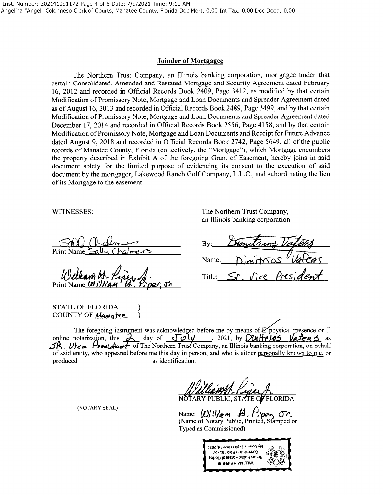#### **Joinder of Mortgagee**

The Northern Trust Company, an Illinois banking corporation, mortgagee under that certain Consolidated, Amended and Restated Mortgage and Security Agreement dated February 16, 2012 and recorded in Official Records Book 2409, Page 3412, as modified by that certain Modification of Promissory Note, Mortgage and Loan Documents and Spreader Agreement dated as of August 16, 2013 and recorded in Official Records Book 2489, Page 3499, and by that certain Modification of Promissory Note, Mortgage and Loan Documents and Spreader Agreement dated December 17, 2014 and recorded in Official Records Book 2556, Page 4158, and by that certain Modification ofPromissory Note, Mortgage and Loan Documents and Receipt for Future Advance dated August 9, 2018 and recorded in Official Records Book 2742, Page 5649, all of the public records of Manatee County, Florida (collectively, the "Mortgage"), which Mortgage encumbers the property described in Exhibit A of the foregoing Grant of Easement, hereby joins in said document solely for the limited purpose of evidencing its consent to the execution of said document by the mortgagor, Lakewood Ranch Golf Company, L.L.C., and subordinating the lien of its Mortgage to the easement.

Print Name  $\mathbf{w}_l$ ۵ά

STATE OF FLORIDA COUNTY OF *Mang*te

WITNESSES: The Northern Trust Company, an Illinois banking corporation

By: Name: Vice Presid Title:

The foregoing instrument was acknowledged before me by means of  $\mathbb{Z}$  physical presence or  $\Box$  online notarization, this  $\frac{\partial}{\partial \alpha}$  day of  $\frac{\partial \nu}{\partial \beta}$ , 2021, by  $\frac{\partial \nu}{\partial \beta}$   $\frac{\partial \nu}{\partial \beta}$   $\frac{\partial \nu}{\partial \beta}$  as as of said entity, who appeared before me this day in person, and who is either personally known **to** m~ or produced \_\_\_\_\_\_\_\_\_ as identification.

PUBLIC, STATE OF FLORIDA

(NOTARY SEAL)

Name: **(,t9J** *llk....,* **.M, , P,,~" cP,** 

(Name of Notary Public, Printed, Stamped or Typed as Commissioned)

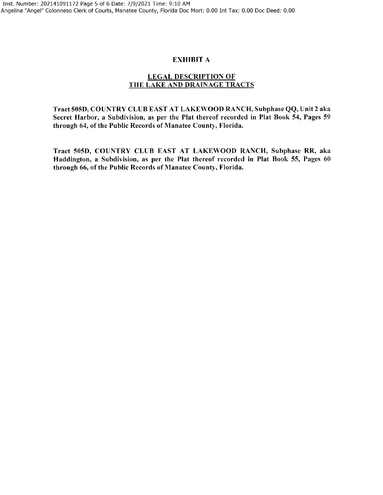### EXHIBIT A

## LEGAL DESCRIPTION OF THE LAKE AND DRAINAGE TRACTS

Tract 505D, COUNTRY CLUB EAST AT LAKEWOOD RANCH, Subphase QQ, Unit 2 aka Secret Harbor, a Subdivision, as per the Plat thereof recorded in Plat Book 54, Pages 59 through 64, of the Public Records of Manatee County, Florida.

Tract 505D, COUNTRY CLUB EAST AT LAKEWOOD RANCH, Subphase RR, aka Haddington, a Subdivision, as per the Plat thereof recorded in Plat Book 55, Pages 60 through 66, of the Public Records of Manatee County, Florida.